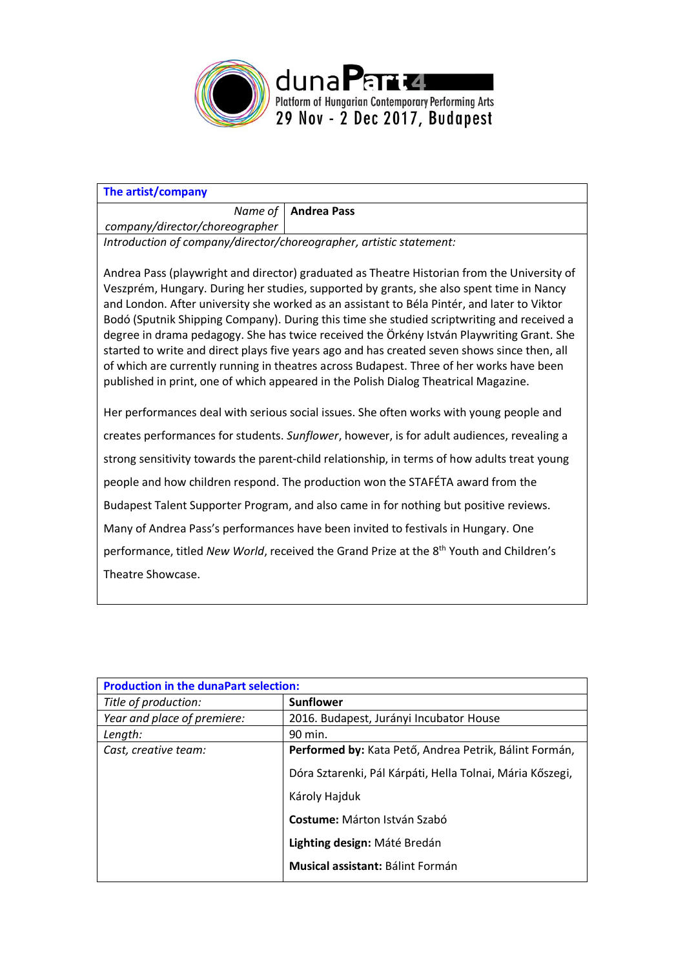

| The artist/company                                                  |                       |
|---------------------------------------------------------------------|-----------------------|
|                                                                     | Name of   Andrea Pass |
| company/director/choreographer                                      |                       |
| Introduction of company/director/choreographer, artistic statement: |                       |

Andrea Pass (playwright and director) graduated as Theatre Historian from the University of Veszprém, Hungary. During her studies, supported by grants, she also spent time in Nancy and London. After university she worked as an assistant to Béla Pintér, and later to Viktor Bodó (Sputnik Shipping Company). During this time she studied scriptwriting and received a degree in drama pedagogy. She has twice received the Örkény István Playwriting Grant. She started to write and direct plays five years ago and has created seven shows since then, all of which are currently running in theatres across Budapest. Three of her works have been published in print, one of which appeared in the Polish Dialog Theatrical Magazine.

Her performances deal with serious social issues. She often works with young people and creates performances for students. *Sunflower*, however, is for adult audiences, revealing a strong sensitivity towards the parent-child relationship, in terms of how adults treat young people and how children respond. The production won the STAFÉTA award from the Budapest Talent Supporter Program, and also came in for nothing but positive reviews. Many of Andrea Pass's performances have been invited to festivals in Hungary. One performance, titled *New World*, received the Grand Prize at the 8<sup>th</sup> Youth and Children's Theatre Showcase.

| <b>Production in the dunaPart selection:</b> |                                                           |
|----------------------------------------------|-----------------------------------------------------------|
| Title of production:                         | <b>Sunflower</b>                                          |
| Year and place of premiere:                  | 2016. Budapest, Jurányi Incubator House                   |
| Length:                                      | 90 min.                                                   |
| Cast, creative team:                         | Performed by: Kata Pető, Andrea Petrik, Bálint Formán,    |
|                                              | Dóra Sztarenki, Pál Kárpáti, Hella Tolnai, Mária Kőszegi, |
|                                              | Károly Hajduk                                             |
|                                              | <b>Costume:</b> Márton István Szabó                       |
|                                              | Lighting design: Máté Bredán                              |
|                                              | <b>Musical assistant: Bálint Formán</b>                   |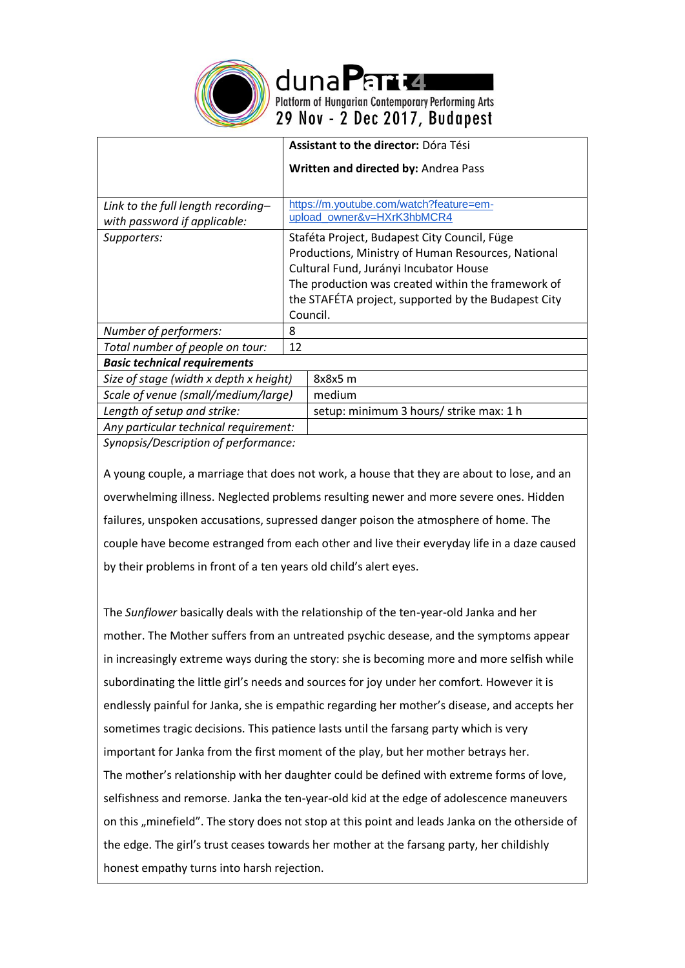

dunaPand Platform of Hungarian Contemporary Performing Arts<br>29 Nov - 2 Dec 2017, Budapest

|                                        | <b>Assistant to the director: Dóra Tési</b>         |  |
|----------------------------------------|-----------------------------------------------------|--|
|                                        | Written and directed by: Andrea Pass                |  |
|                                        |                                                     |  |
| Link to the full length recording-     | https://m.youtube.com/watch?feature=em-             |  |
| with password if applicable:           | upload_owner&v=HXrK3hbMCR4                          |  |
| Supporters:                            | Staféta Project, Budapest City Council, Füge        |  |
|                                        | Productions, Ministry of Human Resources, National  |  |
|                                        | Cultural Fund, Jurányi Incubator House              |  |
|                                        | The production was created within the framework of  |  |
|                                        | the STAFÉTA project, supported by the Budapest City |  |
|                                        | Council.                                            |  |
| Number of performers:                  | 8                                                   |  |
| Total number of people on tour:        | 12                                                  |  |
| <b>Basic technical requirements</b>    |                                                     |  |
| Size of stage (width x depth x height) | 8x8x5 m                                             |  |
| Scale of venue (small/medium/large)    | medium                                              |  |
| Length of setup and strike:            | setup: minimum 3 hours/ strike max: 1 h             |  |
| Any particular technical requirement:  |                                                     |  |
| Sunonsis/Description of nerformance:   |                                                     |  |

*Synopsis/Description of performance:*

A young couple, a marriage that does not work, a house that they are about to lose, and an overwhelming illness. Neglected problems resulting newer and more severe ones. Hidden failures, unspoken accusations, supressed danger poison the atmosphere of home. The couple have become estranged from each other and live their everyday life in a daze caused by their problems in front of a ten years old child's alert eyes.

The *Sunflower* basically deals with the relationship of the ten-year-old Janka and her mother. The Mother suffers from an untreated psychic desease, and the symptoms appear in increasingly extreme ways during the story: she is becoming more and more selfish while subordinating the little girl's needs and sources for joy under her comfort. However it is endlessly painful for Janka, she is empathic regarding her mother's disease, and accepts her sometimes tragic decisions. This patience lasts until the farsang party which is very important for Janka from the first moment of the play, but her mother betrays her. The mother's relationship with her daughter could be defined with extreme forms of love, selfishness and remorse. Janka the ten-year-old kid at the edge of adolescence maneuvers on this "minefield". The story does not stop at this point and leads Janka on the otherside of the edge. The girl's trust ceases towards her mother at the farsang party, her childishly honest empathy turns into harsh rejection.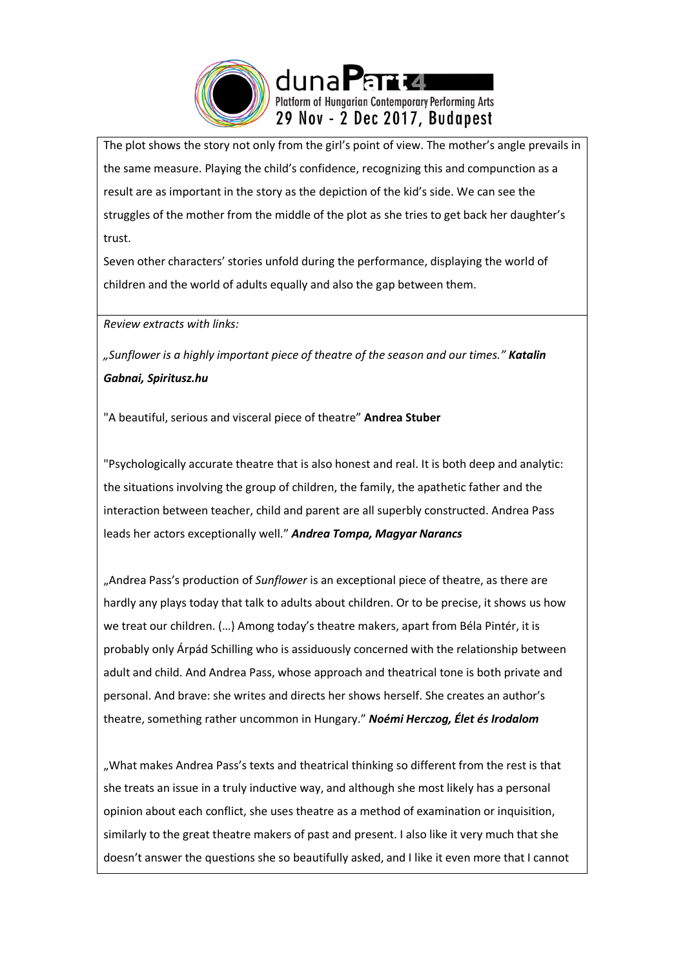

The plot shows the story not only from the girl's point of view. The mother's angle prevails in the same measure. Playing the child's confidence, recognizing this and compunction as a result are as important in the story as the depiction of the kid's side. We can see the struggles of the mother from the middle of the plot as she tries to get back her daughter's trust.

Seven other characters' stories unfold during the performance, displaying the world of children and the world of adults equally and also the gap between them.

*Review extracts with links:*

*"Sunflower is a highly important piece of theatre of the season and our times." Katalin Gabnai, Spiritusz.hu*

"A beautiful, serious and visceral piece of theatre" **Andrea Stuber**

"Psychologically accurate theatre that is also honest and real. It is both deep and analytic: the situations involving the group of children, the family, the apathetic father and the interaction between teacher, child and parent are all superbly constructed. Andrea Pass leads her actors exceptionally well." *Andrea Tompa, Magyar Narancs*

"Andrea Pass's production of *Sunflower* is an exceptional piece of theatre, as there are hardly any plays today that talk to adults about children. Or to be precise, it shows us how we treat our children. (…) Among today's theatre makers, apart from Béla Pintér, it is probably only Árpád Schilling who is assiduously concerned with the relationship between adult and child. And Andrea Pass, whose approach and theatrical tone is both private and personal. And brave: she writes and directs her shows herself. She creates an author's theatre, something rather uncommon in Hungary." *Noémi Herczog, Élet és Irodalom*

"What makes Andrea Pass's texts and theatrical thinking so different from the rest is that she treats an issue in a truly inductive way, and although she most likely has a personal opinion about each conflict, she uses theatre as a method of examination or inquisition, similarly to the great theatre makers of past and present. I also like it very much that she doesn't answer the questions she so beautifully asked, and I like it even more that I cannot